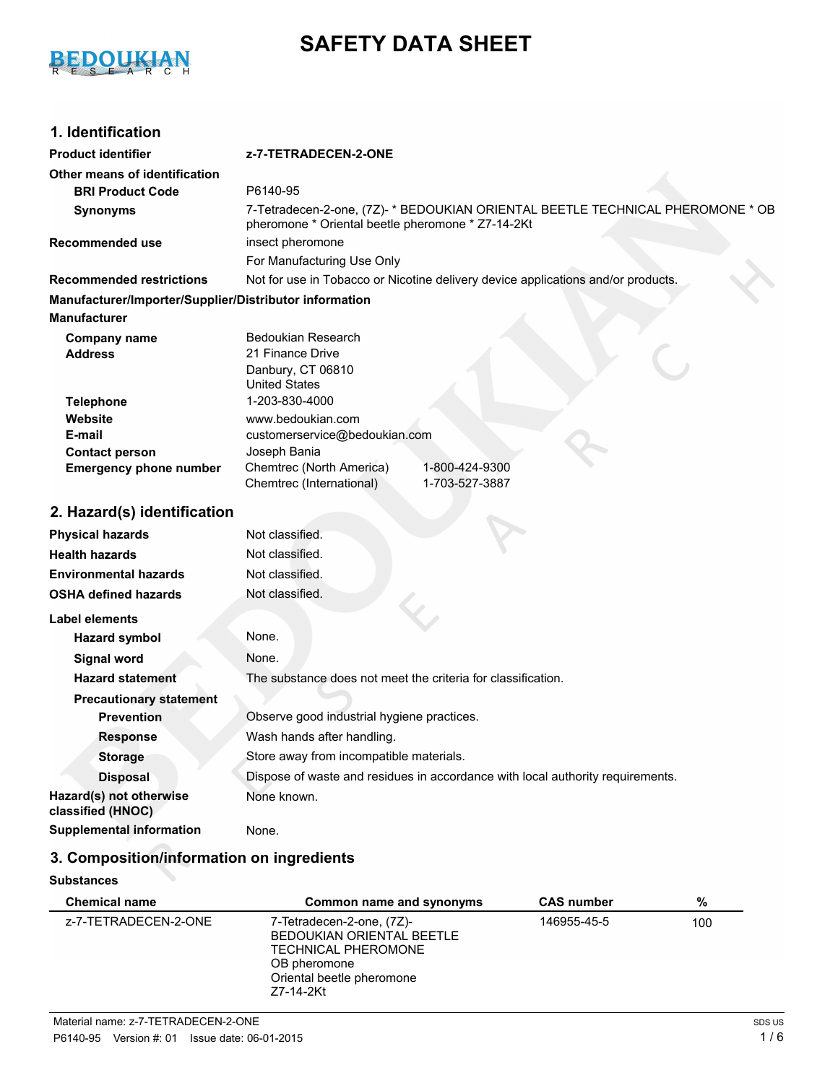

# **SAFETY DATA SHEET**

# **1. Identification**

## **Product identifier z-7-TETRADECEN-2-ONE Other means of identification BRI Product Code** P6140-95 **Synonyms** 7-Tetradecen-2-one, (7Z)- \* BEDOUKIAN ORIENTAL BEETLE TECHNICAL PHEROMONE \* OB pheromone \* Oriental beetle pheromone \* Z7-14-2Kt **Recommended use insect pheromone** For Manufacturing Use Only **Recommended restrictions** Not for use in Tobacco or Nicotine delivery device applications and/or products. **Manufacturer/Importer/Supplier/Distributor information Manufacturer** Bedoukian Research **Address** 21 Finance Drive **Company name Contact person Website Telephone** 1-203-830-4000 **Emergency phone number** Chemtrec (North America) 1-800-424-9300 Chemtrec (International) 1-703-527-3887 Joseph Bania **E-mail** United States www.bedoukian.com customerservice@bedoukian.com Danbury, CT 06810 **2. Hazard(s) identification Physical hazards** Not classified. **Health hazards** Not classified. **Environmental hazards** Not classified. **OSHA defined hazards** Not classified. **Label elements Hazard symbol** None. **Signal word** None. **Hazard statement** The substance does not meet the criteria for classification. **Precautionary statement Prevention** Observe good industrial hygiene practices. **Response** Wash hands after handling. **Storage** Store away from incompatible materials. **Disposal Dispose of waste and residues in accordance with local authority requirements. Hazard(s) not otherwise classified (HNOC)** None known. **Supplemental information** None.

# **3. Composition/information on ingredients**

#### **Substances**

| <b>Chemical name</b> | Common name and synonyms                                                                                                                       | <b>CAS number</b> | %   |
|----------------------|------------------------------------------------------------------------------------------------------------------------------------------------|-------------------|-----|
| z-7-TETRADECEN-2-ONE | 7-Tetradecen-2-one, (7Z)-<br>BEDOUKIAN ORIENTAL BEETLE<br><b>TECHNICAL PHEROMONE</b><br>OB pheromone<br>Oriental beetle pheromone<br>Z7-14-2Kt | 146955-45-5       | 100 |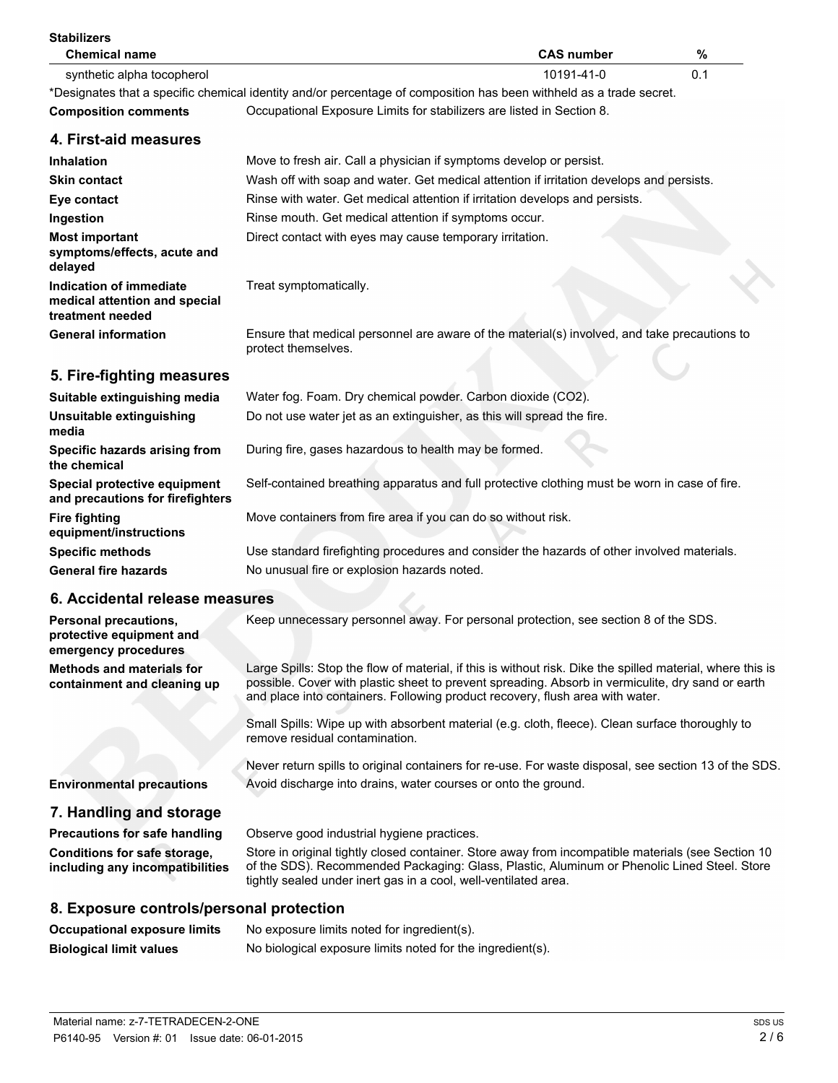| <b>Stabilizers</b><br><b>Chemical name</b>                                              | <b>CAS number</b><br>%                                                                                                                                                                                                                                                                           |  |
|-----------------------------------------------------------------------------------------|--------------------------------------------------------------------------------------------------------------------------------------------------------------------------------------------------------------------------------------------------------------------------------------------------|--|
| synthetic alpha tocopherol                                                              | 10191-41-0<br>0.1                                                                                                                                                                                                                                                                                |  |
|                                                                                         | *Designates that a specific chemical identity and/or percentage of composition has been withheld as a trade secret.                                                                                                                                                                              |  |
| <b>Composition comments</b>                                                             | Occupational Exposure Limits for stabilizers are listed in Section 8.                                                                                                                                                                                                                            |  |
| 4. First-aid measures                                                                   |                                                                                                                                                                                                                                                                                                  |  |
| <b>Inhalation</b>                                                                       | Move to fresh air. Call a physician if symptoms develop or persist.                                                                                                                                                                                                                              |  |
| <b>Skin contact</b>                                                                     | Wash off with soap and water. Get medical attention if irritation develops and persists.                                                                                                                                                                                                         |  |
| Eye contact                                                                             | Rinse with water. Get medical attention if irritation develops and persists.                                                                                                                                                                                                                     |  |
| Ingestion                                                                               | Rinse mouth. Get medical attention if symptoms occur.                                                                                                                                                                                                                                            |  |
| <b>Most important</b><br>symptoms/effects, acute and<br>delayed                         | Direct contact with eyes may cause temporary irritation.                                                                                                                                                                                                                                         |  |
| Indication of immediate<br>medical attention and special<br>treatment needed            | Treat symptomatically.                                                                                                                                                                                                                                                                           |  |
| <b>General information</b>                                                              | Ensure that medical personnel are aware of the material(s) involved, and take precautions to<br>protect themselves.                                                                                                                                                                              |  |
| 5. Fire-fighting measures                                                               |                                                                                                                                                                                                                                                                                                  |  |
| Suitable extinguishing media                                                            | Water fog. Foam. Dry chemical powder. Carbon dioxide (CO2).                                                                                                                                                                                                                                      |  |
| Unsuitable extinguishing<br>media                                                       | Do not use water jet as an extinguisher, as this will spread the fire.                                                                                                                                                                                                                           |  |
| Specific hazards arising from<br>the chemical                                           | During fire, gases hazardous to health may be formed.                                                                                                                                                                                                                                            |  |
| Special protective equipment<br>and precautions for firefighters                        | Self-contained breathing apparatus and full protective clothing must be worn in case of fire.                                                                                                                                                                                                    |  |
| <b>Fire fighting</b><br>equipment/instructions                                          | Move containers from fire area if you can do so without risk.                                                                                                                                                                                                                                    |  |
| <b>Specific methods</b>                                                                 | Use standard firefighting procedures and consider the hazards of other involved materials.                                                                                                                                                                                                       |  |
| <b>General fire hazards</b>                                                             | No unusual fire or explosion hazards noted.                                                                                                                                                                                                                                                      |  |
| 6. Accidental release measures                                                          |                                                                                                                                                                                                                                                                                                  |  |
| Personal precautions,<br>protective equipment and                                       | Keep unnecessary personnel away. For personal protection, see section 8 of the SDS.                                                                                                                                                                                                              |  |
| emergency procedures<br><b>Methods and materials for</b><br>containment and cleaning up | Large Spills: Stop the flow of material, if this is without risk. Dike the spilled material, where this is<br>possible. Cover with plastic sheet to prevent spreading. Absorb in vermiculite, dry sand or earth<br>and place into containers. Following product recovery, flush area with water. |  |
|                                                                                         | Small Spills: Wipe up with absorbent material (e.g. cloth, fleece). Clean surface thoroughly to<br>remove residual contamination.                                                                                                                                                                |  |
|                                                                                         | Never return spills to original containers for re-use. For waste disposal, see section 13 of the SDS.                                                                                                                                                                                            |  |
| <b>Environmental precautions</b>                                                        | Avoid discharge into drains, water courses or onto the ground.                                                                                                                                                                                                                                   |  |
| 7. Handling and storage                                                                 |                                                                                                                                                                                                                                                                                                  |  |
| <b>Precautions for safe handling</b>                                                    | Observe good industrial hygiene practices.                                                                                                                                                                                                                                                       |  |
| Conditions for safe storage,<br>including any incompatibilities                         | Store in original tightly closed container. Store away from incompatible materials (see Section 10<br>of the SDS). Recommended Packaging: Glass, Plastic, Aluminum or Phenolic Lined Steel. Store<br>tightly sealed under inert gas in a cool, well-ventilated area.                             |  |
| 8. Exposure controls/personal protection                                                |                                                                                                                                                                                                                                                                                                  |  |
| <b>Occupational exposure limits</b>                                                     | No exposure limits noted for ingredient(s).                                                                                                                                                                                                                                                      |  |
| <b>Biological limit values</b>                                                          | No biological exposure limits noted for the ingredient(s).                                                                                                                                                                                                                                       |  |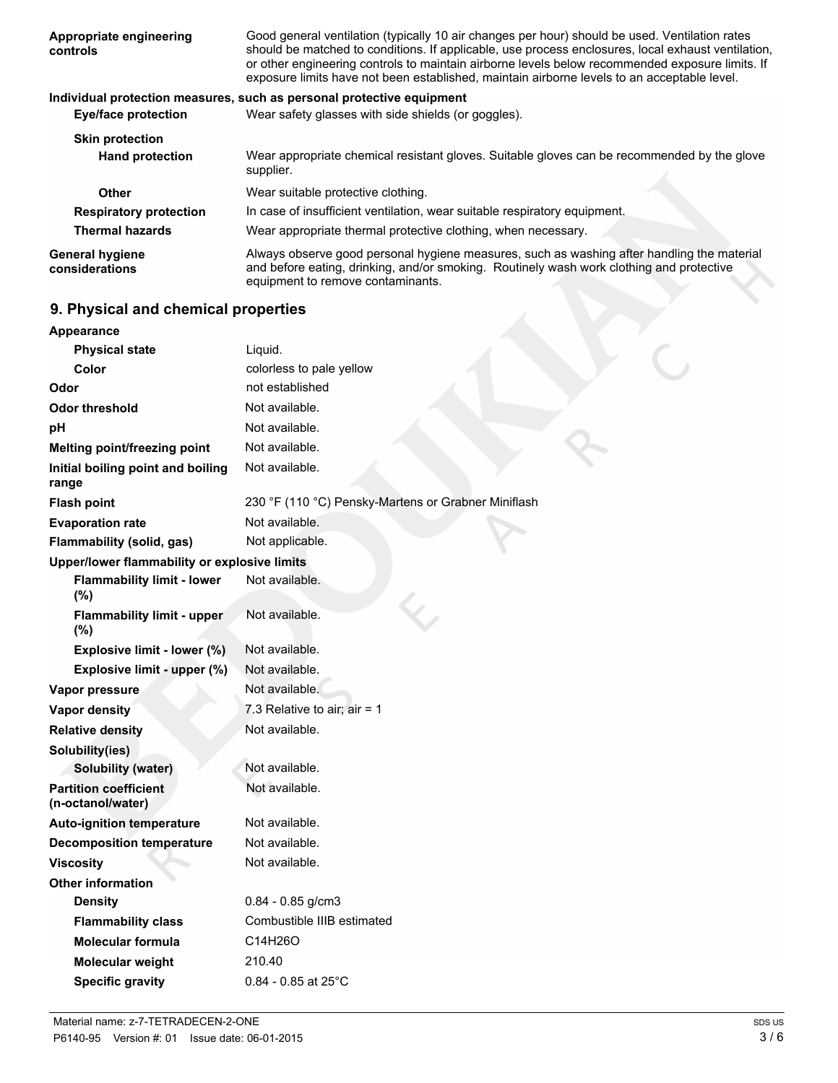| Appropriate engineering<br>controls      | Good general ventilation (typically 10 air changes per hour) should be used. Ventilation rates<br>should be matched to conditions. If applicable, use process enclosures, local exhaust ventilation,<br>or other engineering controls to maintain airborne levels below recommended exposure limits. If<br>exposure limits have not been established, maintain airborne levels to an acceptable level. |
|------------------------------------------|--------------------------------------------------------------------------------------------------------------------------------------------------------------------------------------------------------------------------------------------------------------------------------------------------------------------------------------------------------------------------------------------------------|
|                                          | Individual protection measures, such as personal protective equipment                                                                                                                                                                                                                                                                                                                                  |
| <b>Eye/face protection</b>               | Wear safety glasses with side shields (or goggles).                                                                                                                                                                                                                                                                                                                                                    |
| <b>Skin protection</b>                   |                                                                                                                                                                                                                                                                                                                                                                                                        |
| <b>Hand protection</b>                   | Wear appropriate chemical resistant gloves. Suitable gloves can be recommended by the glove<br>supplier.                                                                                                                                                                                                                                                                                               |
| Other                                    | Wear suitable protective clothing.                                                                                                                                                                                                                                                                                                                                                                     |
| <b>Respiratory protection</b>            | In case of insufficient ventilation, wear suitable respiratory equipment.                                                                                                                                                                                                                                                                                                                              |
| <b>Thermal hazards</b>                   | Wear appropriate thermal protective clothing, when necessary.                                                                                                                                                                                                                                                                                                                                          |
| <b>General hygiene</b><br>considerations | Always observe good personal hygiene measures, such as washing after handling the material<br>and before eating, drinking, and/or smoking. Routinely wash work clothing and protective<br>equipment to remove contaminants.                                                                                                                                                                            |
| A. Blooded and alcoholisations and a     |                                                                                                                                                                                                                                                                                                                                                                                                        |

# **9. Physical and chemical properties**

**Appearance**

| Appearance                                        |                                                     |
|---------------------------------------------------|-----------------------------------------------------|
| <b>Physical state</b>                             | Liquid.                                             |
| Color                                             | colorless to pale yellow                            |
| Odor                                              | not established                                     |
| Odor threshold                                    | Not available.                                      |
| рH                                                | Not available.                                      |
| Melting point/freezing point                      | Not available.                                      |
| Initial boiling point and boiling<br>range        | Not available.                                      |
| <b>Flash point</b>                                | 230 °F (110 °C) Pensky-Martens or Grabner Miniflash |
| <b>Evaporation rate</b>                           | Not available.                                      |
| Flammability (solid, gas)                         | Not applicable.                                     |
| Upper/lower flammability or explosive limits      |                                                     |
| <b>Flammability limit - lower</b><br>(%)          | Not available.                                      |
| <b>Flammability limit - upper</b><br>(%)          | Not available.                                      |
| Explosive limit - lower (%)                       | Not available.                                      |
| Explosive limit - upper (%)                       | Not available.                                      |
| Vapor pressure                                    | Not available.                                      |
| <b>Vapor density</b>                              | 7.3 Relative to air; air = $1$                      |
| <b>Relative density</b>                           | Not available.                                      |
| Solubility(ies)                                   |                                                     |
| <b>Solubility (water)</b>                         | Not available.                                      |
| <b>Partition coefficient</b><br>(n-octanol/water) | Not available.                                      |
| <b>Auto-ignition temperature</b>                  | Not available.                                      |
| <b>Decomposition temperature</b>                  | Not available.                                      |
| <b>Viscosity</b>                                  | Not available.                                      |
| <b>Other information</b>                          |                                                     |
| <b>Density</b>                                    | $0.84 - 0.85$ g/cm3                                 |
| <b>Flammability class</b>                         | Combustible IIIB estimated                          |
| Molecular formula                                 | C14H26O                                             |
| Molecular weight                                  | 210.40                                              |
| <b>Specific gravity</b>                           | $0.84 - 0.85$ at 25°C                               |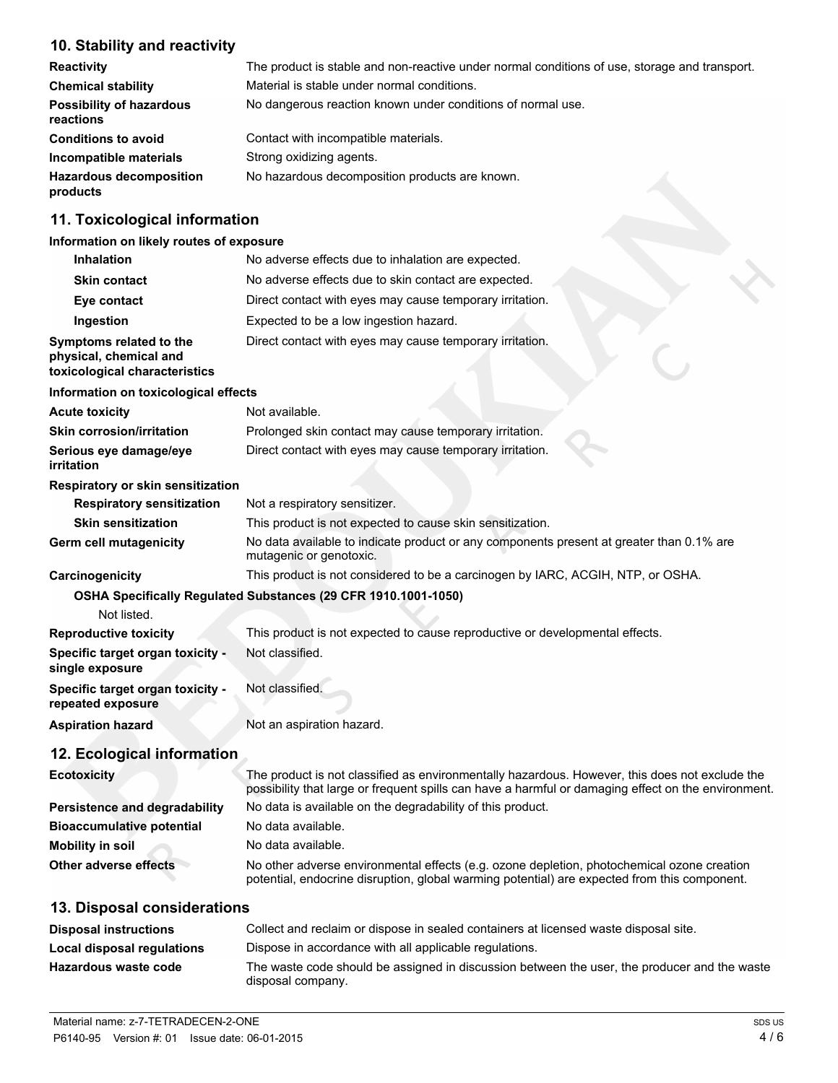# **10. Stability and reactivity**

| <b>Reactivity</b>                            | The product is stable and non-reactive under normal conditions of use, storage and transport. |
|----------------------------------------------|-----------------------------------------------------------------------------------------------|
| <b>Chemical stability</b>                    | Material is stable under normal conditions.                                                   |
| <b>Possibility of hazardous</b><br>reactions | No dangerous reaction known under conditions of normal use.                                   |
| <b>Conditions to avoid</b>                   | Contact with incompatible materials.                                                          |
| Incompatible materials                       | Strong oxidizing agents.                                                                      |
| <b>Hazardous decomposition</b><br>products   | No hazardous decomposition products are known.                                                |

# **11. Toxicological information**

## **Information on likely routes of exposure**

| <b>Inhalation</b>                                                                  | No adverse effects due to inhalation are expected.                                                                                                                                                   |
|------------------------------------------------------------------------------------|------------------------------------------------------------------------------------------------------------------------------------------------------------------------------------------------------|
| <b>Skin contact</b>                                                                | No adverse effects due to skin contact are expected.                                                                                                                                                 |
| Eye contact                                                                        | Direct contact with eyes may cause temporary irritation.                                                                                                                                             |
| Ingestion                                                                          | Expected to be a low ingestion hazard.                                                                                                                                                               |
| Symptoms related to the<br>physical, chemical and<br>toxicological characteristics | Direct contact with eyes may cause temporary irritation.                                                                                                                                             |
| Information on toxicological effects                                               |                                                                                                                                                                                                      |
| <b>Acute toxicity</b>                                                              | Not available.                                                                                                                                                                                       |
| <b>Skin corrosion/irritation</b>                                                   | Prolonged skin contact may cause temporary irritation.                                                                                                                                               |
| Serious eye damage/eye<br>irritation                                               | Direct contact with eyes may cause temporary irritation.                                                                                                                                             |
| <b>Respiratory or skin sensitization</b>                                           |                                                                                                                                                                                                      |
| <b>Respiratory sensitization</b>                                                   | Not a respiratory sensitizer.                                                                                                                                                                        |
| <b>Skin sensitization</b>                                                          | This product is not expected to cause skin sensitization.                                                                                                                                            |
| Germ cell mutagenicity                                                             | No data available to indicate product or any components present at greater than 0.1% are<br>mutagenic or genotoxic.                                                                                  |
| Carcinogenicity                                                                    | This product is not considered to be a carcinogen by IARC, ACGIH, NTP, or OSHA.                                                                                                                      |
| Not listed.                                                                        | OSHA Specifically Regulated Substances (29 CFR 1910.1001-1050)                                                                                                                                       |
| <b>Reproductive toxicity</b>                                                       | This product is not expected to cause reproductive or developmental effects.                                                                                                                         |
| Specific target organ toxicity -<br>single exposure                                | Not classified.                                                                                                                                                                                      |
| Specific target organ toxicity -<br>repeated exposure                              | Not classified.                                                                                                                                                                                      |
| <b>Aspiration hazard</b>                                                           | Not an aspiration hazard.                                                                                                                                                                            |
| 12. Ecological information                                                         |                                                                                                                                                                                                      |
| <b>Ecotoxicity</b>                                                                 | The product is not classified as environmentally hazardous. However, this does not exclude the<br>possibility that large or froquent epille can boys a bormful or demoging effect on the epyironment |

|                                      | possibility that large or frequent spills can have a harmful or damaging effect on the environment.                                                                                        |
|--------------------------------------|--------------------------------------------------------------------------------------------------------------------------------------------------------------------------------------------|
| <b>Persistence and degradability</b> | No data is available on the degradability of this product.                                                                                                                                 |
| <b>Bioaccumulative potential</b>     | No data available.                                                                                                                                                                         |
| Mobility in soil                     | No data available.                                                                                                                                                                         |
| Other adverse effects                | No other adverse environmental effects (e.g. ozone depletion, photochemical ozone creation<br>potential, endocrine disruption, global warming potential) are expected from this component. |

# **13. Disposal considerations**

| <b>Disposal instructions</b> | Collect and reclaim or dispose in sealed containers at licensed waste disposal site.                              |
|------------------------------|-------------------------------------------------------------------------------------------------------------------|
| Local disposal regulations   | Dispose in accordance with all applicable regulations.                                                            |
| Hazardous waste code         | The waste code should be assigned in discussion between the user, the producer and the waste<br>disposal company. |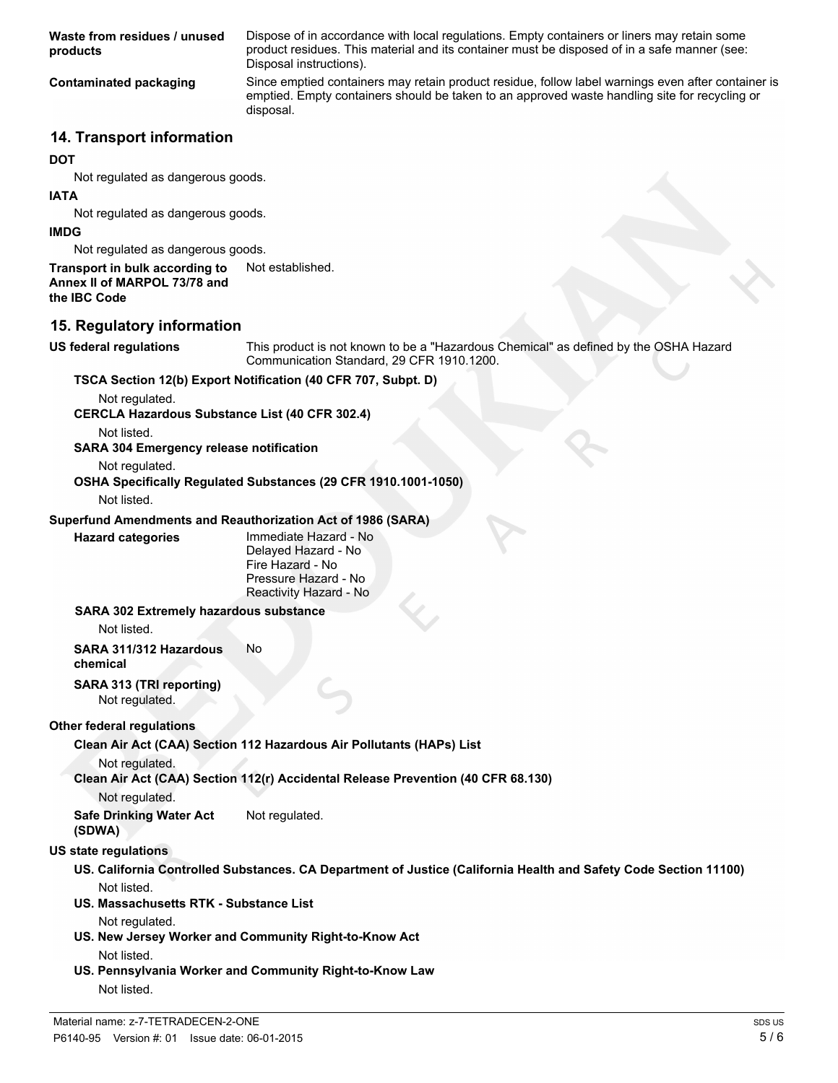**Waste from residues / unused products**

Dispose of in accordance with local regulations. Empty containers or liners may retain some product residues. This material and its container must be disposed of in a safe manner (see: Disposal instructions).

**Contaminated packaging** Since emptied containers may retain product residue, follow label warnings even after container is emptied. Empty containers should be taken to an approved waste handling site for recycling or disposal.

## **14. Transport information**

#### **DOT**

Not regulated as dangerous goods.

#### **IATA**

Not regulated as dangerous goods.

#### **IMDG**

Not regulated as dangerous goods.

# **Transport in bulk according to** Not established. **Annex II of MARPOL 73/78 and**

**the IBC Code**

## **15. Regulatory information**

**US federal regulations** This product is not known to be a "Hazardous Chemical" as defined by the OSHA Hazard Communication Standard, 29 CFR 1910.1200.

## **TSCA Section 12(b) Export Notification (40 CFR 707, Subpt. D)**

Not regulated.

**CERCLA Hazardous Substance List (40 CFR 302.4)**

Not listed.

**SARA 304 Emergency release notification**

Not regulated.

**OSHA Specifically Regulated Substances (29 CFR 1910.1001-1050)**

Not listed.

## **Superfund Amendments and Reauthorization Act of 1986 (SARA)**

**Hazard categories** Immediate Hazard - No Delayed Hazard - No Fire Hazard - No Pressure Hazard - No Reactivity Hazard - No

#### **SARA 302 Extremely hazardous substance**

Not listed.

**SARA 311/312 Hazardous chemical** No

**SARA 313 (TRI reporting)** Not regulated.

## **Other federal regulations**

**Clean Air Act (CAA) Section 112 Hazardous Air Pollutants (HAPs) List**

Not regulated.

**Clean Air Act (CAA) Section 112(r) Accidental Release Prevention (40 CFR 68.130)**

Not regulated.

**Safe Drinking Water Act (SDWA)** Not regulated.

## **US state regulations**

- **US. California Controlled Substances. CA Department of Justice (California Health and Safety Code Section 11100)** Not listed.
- **US. Massachusetts RTK Substance List**

Not regulated.

- **US. New Jersey Worker and Community Right-to-Know Act** Not listed.
- **US. Pennsylvania Worker and Community Right-to-Know Law** Not listed.